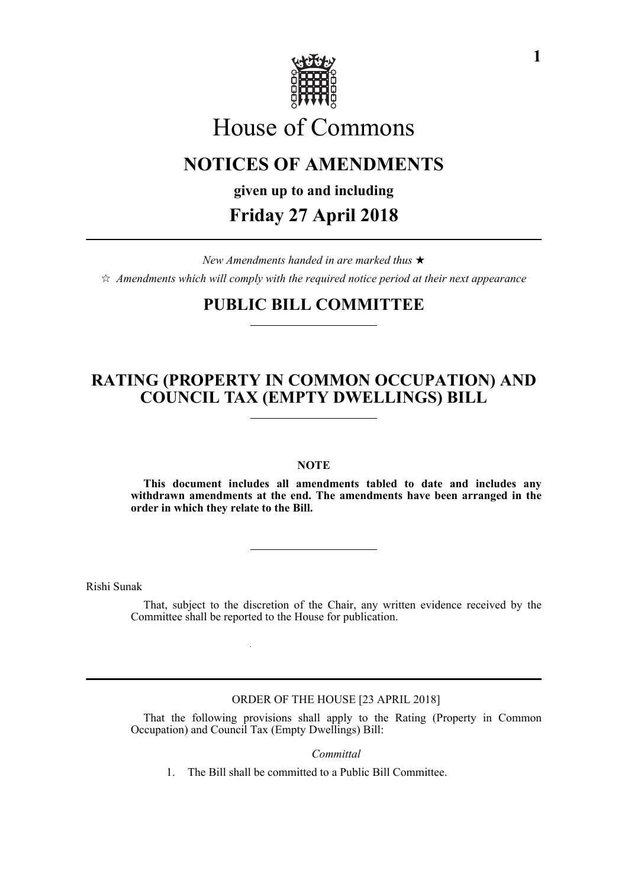

# House of Commons

# **NOTICES OF AMENDMENTS**

**given up to and including**

### **Friday 27 April 2018**

*New Amendments handed in are marked thus*   $\hat{\varphi}$  Amendments which will comply with the required notice period at their next appearance

# **PUBLIC BILL COMMITTEE**

# **RATING (PROPERTY IN COMMON OCCUPATION) AND COUNCIL TAX (EMPTY DWELLINGS) BILL**

#### **NOTE**

**This document includes all amendments tabled to date and includes any withdrawn amendments at the end. The amendments have been arranged in the order in which they relate to the Bill.**

Rishi Sunak

That, subject to the discretion of the Chair, any written evidence received by the Committee shall be reported to the House for publication.

ORDER OF THE HOUSE [23 APRIL 2018]

That the following provisions shall apply to the Rating (Property in Common Occupation) and Council Tax (Empty Dwellings) Bill:

*Committal*

1. The Bill shall be committed to a Public Bill Committee.